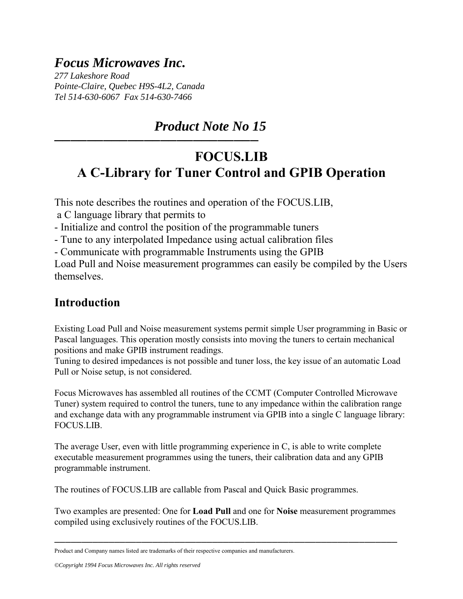# *Focus Microwaves Inc.*

*277 Lakeshore Road Pointe-Claire, Quebec H9S-4L2, Canada Tel 514-630-6067 Fax 514-630-7466* 

<del>─────</del>──────────────────────────────</del>

# *Product Note No 15*

# **FOCUS.LIB A C-Library for Tuner Control and GPIB Operation**

This note describes the routines and operation of the FOCUS.LIB,

a C language library that permits to

- Initialize and control the position of the programmable tuners

- Tune to any interpolated Impedance using actual calibration files

- Communicate with programmable Instruments using the GPIB

Load Pull and Noise measurement programmes can easily be compiled by the Users themselves.

## **Introduction**

Existing Load Pull and Noise measurement systems permit simple User programming in Basic or Pascal languages. This operation mostly consists into moving the tuners to certain mechanical positions and make GPIB instrument readings.

Tuning to desired impedances is not possible and tuner loss, the key issue of an automatic Load Pull or Noise setup, is not considered.

Focus Microwaves has assembled all routines of the CCMT (Computer Controlled Microwave Tuner) system required to control the tuners, tune to any impedance within the calibration range and exchange data with any programmable instrument via GPIB into a single C language library: FOCUS.LIB.

The average User, even with little programming experience in C, is able to write complete executable measurement programmes using the tuners, their calibration data and any GPIB programmable instrument.

The routines of FOCUS.LIB are callable from Pascal and Quick Basic programmes.

Two examples are presented: One for **Load Pull** and one for **Noise** measurement programmes compiled using exclusively routines of the FOCUS.LIB.

*©Copyright 1994 Focus Microwaves Inc. All rights reserved* 

<sup>───────────────────────────────────────────────────────────────</sup> Product and Company names listed are trademarks of their respective companies and manufacturers.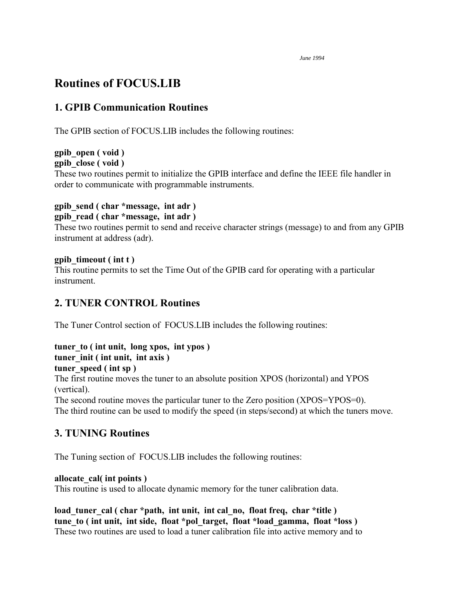## **Routines of FOCUS.LIB**

### **1. GPIB Communication Routines**

The GPIB section of FOCUS.LIB includes the following routines:

# **gpib\_open ( void )**

**gpib\_close ( void )** 

These two routines permit to initialize the GPIB interface and define the IEEE file handler in order to communicate with programmable instruments.

## **gpib\_send ( char \*message, int adr )**

**gpib\_read ( char \*message, int adr )** 

These two routines permit to send and receive character strings (message) to and from any GPIB instrument at address (adr).

### **gpib\_timeout ( int t )**

This routine permits to set the Time Out of the GPIB card for operating with a particular instrument.

## **2. TUNER CONTROL Routines**

The Tuner Control section of FOCUS.LIB includes the following routines:

# **tuner\_to ( int unit, long xpos, int ypos )**

# **tuner\_init ( int unit, int axis )**

**tuner\_speed ( int sp )**

The first routine moves the tuner to an absolute position XPOS (horizontal) and YPOS (vertical).

The second routine moves the particular tuner to the Zero position (XPOS=YPOS=0). The third routine can be used to modify the speed (in steps/second) at which the tuners move.

### **3. TUNING Routines**

The Tuning section of FOCUS.LIB includes the following routines:

### **allocate\_cal( int points )**

This routine is used to allocate dynamic memory for the tuner calibration data.

load tuner cal ( char \*path, int unit, int cal no, float freq, char \*title ) tune to ( int unit, int side, float \*pol target, float \*load gamma, float \*loss ) These two routines are used to load a tuner calibration file into active memory and to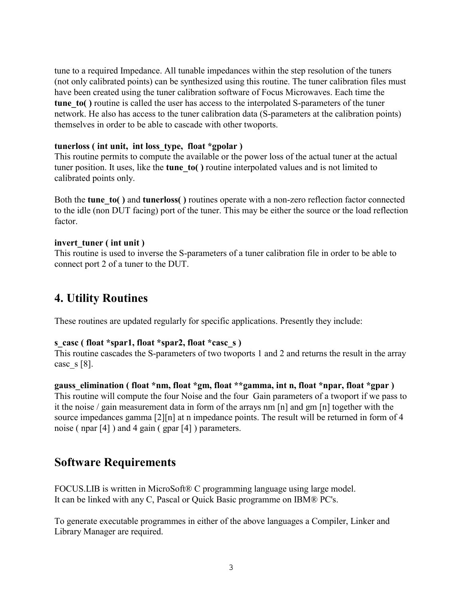tune to a required Impedance. All tunable impedances within the step resolution of the tuners (not only calibrated points) can be synthesized using this routine. The tuner calibration files must have been created using the tuner calibration software of Focus Microwaves. Each time the **tune to()** routine is called the user has access to the interpolated S-parameters of the tuner network. He also has access to the tuner calibration data (S-parameters at the calibration points) themselves in order to be able to cascade with other twoports.

### **tunerloss ( int unit, int loss\_type, float \*gpolar )**

This routine permits to compute the available or the power loss of the actual tuner at the actual tuner position. It uses, like the **tune\_to( )** routine interpolated values and is not limited to calibrated points only.

Both the **tune\_to( )** and **tunerloss( )** routines operate with a non-zero reflection factor connected to the idle (non DUT facing) port of the tuner. This may be either the source or the load reflection factor.

### **invert\_tuner ( int unit )**

This routine is used to inverse the S-parameters of a tuner calibration file in order to be able to connect port 2 of a tuner to the DUT.

## **4. Utility Routines**

These routines are updated regularly for specific applications. Presently they include:

### **s\_casc ( float \*spar1, float \*spar2, float \*casc\_s )**

This routine cascades the S-parameters of two twoports 1 and 2 and returns the result in the array case  $s [8]$ .

#### **gauss\_elimination ( float \*nm, float \*gm, float \*\*gamma, int n, float \*npar, float \*gpar )**

This routine will compute the four Noise and the four Gain parameters of a twoport if we pass to it the noise / gain measurement data in form of the arrays nm [n] and gm [n] together with the source impedances gamma [2][n] at n impedance points. The result will be returned in form of 4 noise ( npar [4] ) and 4 gain ( gpar [4] ) parameters.

### **Software Requirements**

FOCUS.LIB is written in MicroSoft® C programming language using large model. It can be linked with any C, Pascal or Quick Basic programme on IBM® PC's.

To generate executable programmes in either of the above languages a Compiler, Linker and Library Manager are required.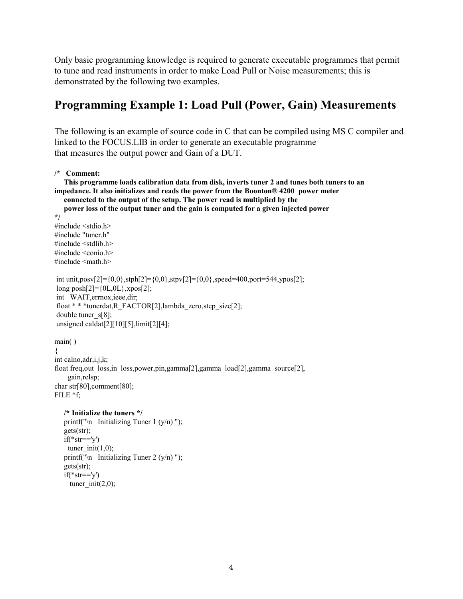Only basic programming knowledge is required to generate executable programmes that permit to tune and read instruments in order to make Load Pull or Noise measurements; this is demonstrated by the following two examples.

## **Programming Example 1: Load Pull (Power, Gain) Measurements**

The following is an example of source code in C that can be compiled using MS C compiler and linked to the FOCUS.LIB in order to generate an executable programme that measures the output power and Gain of a DUT.

```
/* Comment:
```

```
 This programme loads calibration data from disk, inverts tuner 2 and tunes both tuners to an 
impedance. It also initializes and reads the power from the Boonton® 4200 power meter 
    connected to the output of the setup. The power read is multiplied by the 
    power loss of the output tuner and the gain is computed for a given injected power 
*/ 
#include <stdio.h> 
#include "tuner.h" 
\#include \leqstdlib.h>#include <conio.h> 
#include <math.h> 
int unit,posv[2]={0,0},stph[2]={0,0},stpv[2]={0,0},speed=400,port=544,ypos[2];
long posh[2] = \{0L, 0L\}, xpos[2];
int WAIT, errnox, ieee, dir;
 float * * *tunerdat,R_FACTOR[2],lambda_zero,step_size[2]; 
 double tuner_s[8]; 
 unsigned caldat[2][10][5],limit[2][4]; 
main( ) 
{ 
int calno,adr,i,j,k; 
float freq,out loss,in loss,power,pin,gamma[2],gamma load[2],gamma source[2],
     gain,relsp; 
char str[80],comment[80]; 
FILE *f; 
    /* Initialize the tuners */
   printf("\n Initializing Tuner 1 (y/n)");
    gets(str); 
   if(*str=='v')tuner init(1,0);
   printf("\n Initializing Tuner 2 (y/n)");
    gets(str); 
   if(*str=='y')tuner init(2,0);
```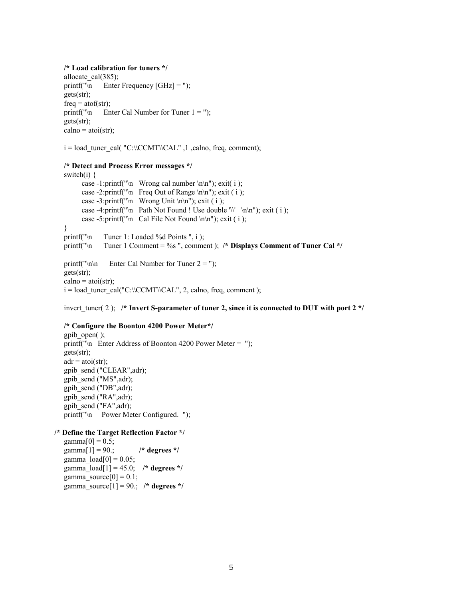#### **/\* Load calibration for tuners \*/**

```
allocate_cal(385);
printf("\ln Enter Frequency [GHz] = ");
 gets(str); 
freq = \text{atof}(\text{str});printf("\n Enter Cal Number for Tuner 1 =");
 gets(str); 
calno = \text{atoi}(\text{str});
```
 $i = load$  tuner\_cal( "C:\\CCMT\\CAL", 1,calno, freq, comment);

#### **/\* Detect and Process Error messages \*/**

switch(i)  $\{$ case -1:printf("\n Wrong cal number \n\n"); exit( i ); case -2:printf("\n Freq Out of Range \n\n"); exit ( i ); case -3:printf("\n Wrong Unit \n\n"); exit ( i ); case -4:printf("\n Path Not Found ! Use double '\\' \n\n"); exit ( i ); case -5:printf("\n Cal File Not Found \n\n"); exit ( i ); } printf("\n Tuner 1: Loaded %d Points ", i ); printf("\n Tuner 1 Comment = %s ", comment ); **/\* Displays Comment of Tuner Cal \*/** printf("\n\n Enter Cal Number for Tuner  $2 =$ "); gets(str);  $calno = \text{atoi}(\text{str})$ ;

 $i = load$  tuner cal("C:\\CCMT\\CAL", 2, calno, freq, comment );

invert\_tuner( 2 ); **/\* Invert S-parameter of tuner 2, since it is connected to DUT with port 2 \*/**

#### **/\* Configure the Boonton 4200 Power Meter\*/**

 gpib\_open( ); printf("\n Enter Address of Boonton 4200 Power Meter = "); gets(str);  $adr = atoi(str);$  gpib\_send ("CLEAR",adr); gpib\_send ("MS",adr); gpib\_send ("DB",adr); gpib\_send ("RA",adr); gpib\_send ("FA",adr); printf("\n Power Meter Configured. ");

#### **/\* Define the Target Reflection Factor \*/**

```
gamma[0] = 0.5;
 gamma[1] = 90.; /* degrees */
gamma\text{load}[0] = 0.05;
gamma load[1] = 45.0; /* degrees */
gamma_source[0] = 0.1;
gamma_source[1] = 90.; /* degrees */
```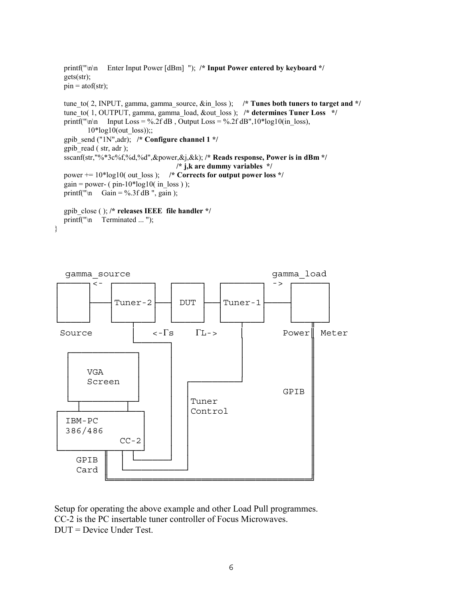```
 printf("\n\n Enter Input Power [dBm] "); /* Input Power entered by keyboard */
 gets(str); 
pin = atof(str); tune_to( 2, INPUT, gamma, gamma_source, &in_loss ); /* Tunes both tuners to target and */
 tune_to( 1, OUTPUT, gamma, gamma_load, &out_loss ); /* determines Tuner Loss */
printf("\n\n Input Loss = %.2f dB , Output Loss = %.2f dB",10*log10(in loss),
       10*log10(out \; loss));;
 gpib_send ("1N",adr); /* Configure channel 1 */
 gpib_read ( str, adr ); 
 sscanf(str,"%*3c%f,%d,%d",&power,&j,&k); /* Reads response, Power is in dBm */ 
                                    /* j,k are dummy variables */
power += 10* \log 10 (out loss ); /* Corrects for output power loss */
gain = power- (pin-10*log10 (in loss ) );
printf("\n Gain = %.3f dB ", gain );
```

```
 gpib_close ( ); /* releases IEEE file handler */
printf("\n Terminated ... ");
```
}



Setup for operating the above example and other Load Pull programmes. CC-2 is the PC insertable tuner controller of Focus Microwaves. DUT = Device Under Test.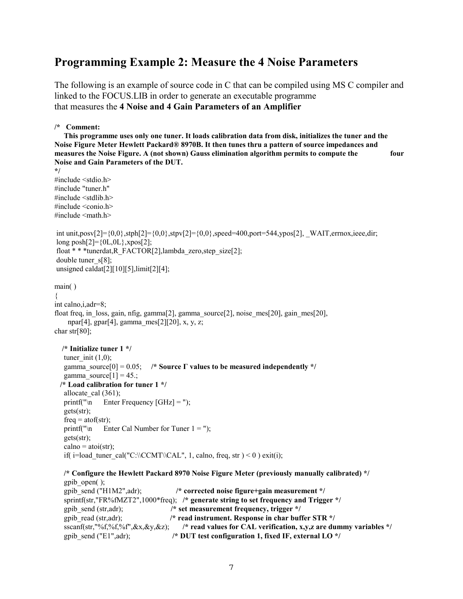## **Programming Example 2: Measure the 4 Noise Parameters**

The following is an example of source code in C that can be compiled using MS C compiler and linked to the FOCUS.LIB in order to generate an executable programme that measures the **4 Noise and 4 Gain Parameters of an Amplifier**

**/\* Comment:** 

 **This programme uses only one tuner. It loads calibration data from disk, initializes the tuner and the Noise Figure Meter Hewlett Packard® 8970B. It then tunes thru a pattern of source impedances and measures the Noise Figure. A (not shown) Gauss elimination algorithm permits to compute the four Noise and Gain Parameters of the DUT.** 

```
*/ 
#include <stdio.h> 
#include "tuner.h" 
\#include \leqstdlib.h>\#include \leconio.h>
\#include \leqmath.h>int unit,posv[2]={0,0},stph[2]={0,0},stpv[2]={0,0},speed=400,port=544,ypos[2], _WAIT,errnox,ieee,dir;
long posh[2] = {0L, 0L}, xpos[2]; float * * *tunerdat,R_FACTOR[2],lambda_zero,step_size[2]; 
double tuner s[8];
unsigned caldat<sup>[2][10][5]</sup>,limit<sup>[2][4]</sup>;
main( ) 
{ 
int calno,i,adr=8; 
float freq, in loss, gain, nfig, gamma<sup>[2]</sup>, gamma source<sup>[2]</sup>, noise mes<sup>[20]</sup>, gain mes<sup>[20]</sup>,
    npar[4], gpar[4], gamma_mes[2][20], x, y, z;
char str[80]; 
   /* Initialize tuner 1 */
   tuner init (1,0);
   gamma source[0] = 0.05; /* Source \Gamma values to be measured independently */
   gamma_source[1] = 45.;
   /* Load calibration for tuner 1 */
   allocate cal (361);
   printf("\n Enter Frequency [GHz] =");
    gets(str); 
   freq = \text{atof}(\text{str});printf("\n Enter Cal Number for Tuner 1 =");
    gets(str); 
   calno = \text{atoi}(\text{str});
   if( i=load tuner cal("C:\\CCMT\\CAL", 1, calno, freq, str ) < 0 ) exit(i);
    /* Configure the Hewlett Packard 8970 Noise Figure Meter (previously manually calibrated) */
    gpib_open( ); 
    gpib_send ("H1M2",adr); /* corrected noise figure+gain measurement */
```

```
 sprintf(str,"FR%fMZT2",1000*freq); /* generate string to set frequency and Trigger */
 gpib_send (str,adr); /* set measurement frequency, trigger */
gpib_read (str,adr);<br>
/* read instrument. Response in char buffer STR */<br>
sscanf(str,"%f,%f",%x,&y,&z);<br>
/* read values for CAL verification, x,y,z are du
                                         /* read values for CAL verification, x,y,z are dummy variables */
gpib send ("E1",adr); / /* DUT test configuration 1, fixed IF, external LO */
```